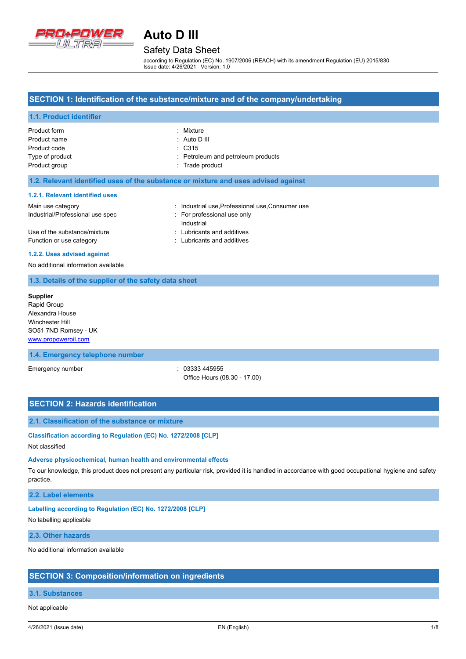

### Safety Data Sheet

according to Regulation (EC) No. 1907/2006 (REACH) with its amendment Regulation (EU) 2015/830 Issue date: 4/26/2021 Version: 1.0

### **SECTION 1: Identification of the substance/mixture and of the company/undertaking**

### **1.1. Product identifier**

| Product form    | : Mixture                          |
|-----------------|------------------------------------|
| Product name    | $\therefore$ Auto D III            |
| Product code    | $\therefore$ C315                  |
| Type of product | : Petroleum and petroleum products |
| Product group   | : Trade product                    |

### **1.2. Relevant identified uses of the substance or mixture and uses advised against**

#### **1.2.1. Relevant identified uses**

| Main use category                | : Industrial use Professional use Consumer use |
|----------------------------------|------------------------------------------------|
| Industrial/Professional use spec | : For professional use only                    |
|                                  | Industrial                                     |
| Use of the substance/mixture     | : Lubricants and additives                     |
| Function or use category         | : Lubricants and additives                     |

#### **1.2.2. Uses advised against**

No additional information available

### **1.3. Details of the supplier of the safety data sheet**

**Supplier** Rapid Group Alexandra House Winchester Hill SO51 7ND Romsey - UK <www.propoweroil.com>

### **1.4. Emergency telephone number**

Emergency number : 03333 445955 Office Hours (08.30 - 17.00)

### **SECTION 2: Hazards identification**

### **2.1. Classification of the substance or mixture**

**Classification according to Regulation (EC) No. 1272/2008 [CLP]**

### Not classified

### **Adverse physicochemical, human health and environmental effects**

To our knowledge, this product does not present any particular risk, provided it is handled in accordance with good occupational hygiene and safety practice.

### **2.2. Label elements**

### **Labelling according to Regulation (EC) No. 1272/2008 [CLP]**

No labelling applicable

### **2.3. Other hazards**

No additional information available

### **SECTION 3: Composition/information on ingredients**

### **3.1. Substances**

Not applicable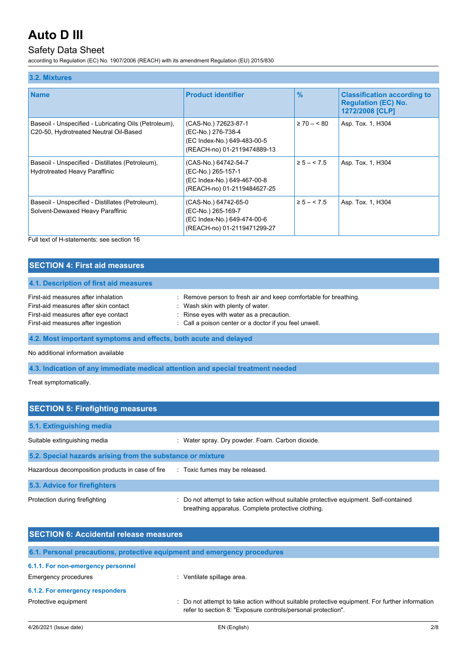## Safety Data Sheet

according to Regulation (EC) No. 1907/2006 (REACH) with its amendment Regulation (EU) 2015/830

| 3.2. Mixtures                                                                                   |                                                                                                          |                |                                                                                     |
|-------------------------------------------------------------------------------------------------|----------------------------------------------------------------------------------------------------------|----------------|-------------------------------------------------------------------------------------|
| <b>Name</b>                                                                                     | <b>Product identifier</b>                                                                                | $\frac{9}{6}$  | <b>Classification according to</b><br><b>Regulation (EC) No.</b><br>1272/2008 [CLP] |
| Baseoil - Unspecified - Lubricating Oils (Petroleum),<br>C20-50, Hydrotreated Neutral Oil-Based | (CAS-No.) 72623-87-1<br>(EC-No.) 276-738-4<br>(EC Index-No.) 649-483-00-5<br>(REACH-no) 01-2119474889-13 | $\geq 70 - 80$ | Asp. Tox. 1, H304                                                                   |
| Baseoil - Unspecified - Distillates (Petroleum),<br><b>Hydrotreated Heavy Paraffinic</b>        | (CAS-No.) 64742-54-7<br>(EC-No.) 265-157-1<br>(EC Index-No.) 649-467-00-8<br>(REACH-no) 01-2119484627-25 | $\ge 5 - 5.5$  | Asp. Tox. 1, H304                                                                   |
| Baseoil - Unspecified - Distillates (Petroleum),<br>Solvent-Dewaxed Heavy Paraffinic            | (CAS-No.) 64742-65-0<br>(EC-No.) 265-169-7<br>(EC Index-No.) 649-474-00-6<br>(REACH-no) 01-2119471299-27 | $\ge 5 - 5.5$  | Asp. Tox. 1, H304                                                                   |

Full text of H-statements: see section 16

| <b>SECTION 4: First aid measures</b>                                                                                                                       |                                                                                                                                                                                                             |  |  |
|------------------------------------------------------------------------------------------------------------------------------------------------------------|-------------------------------------------------------------------------------------------------------------------------------------------------------------------------------------------------------------|--|--|
| 4.1. Description of first aid measures                                                                                                                     |                                                                                                                                                                                                             |  |  |
| First-aid measures after inhalation<br>First-aid measures after skin contact<br>First-aid measures after eye contact<br>First-aid measures after ingestion | : Remove person to fresh air and keep comfortable for breathing.<br>: Wash skin with plenty of water.<br>: Rinse eyes with water as a precaution.<br>: Call a poison center or a doctor if you feel unwell. |  |  |
| 4.2. Most important symptoms and effects, both acute and delayed                                                                                           |                                                                                                                                                                                                             |  |  |
| No additional information available                                                                                                                        |                                                                                                                                                                                                             |  |  |
| 4.3. Indication of any immediate medical attention and special treatment needed                                                                            |                                                                                                                                                                                                             |  |  |

Treat symptomatically.

| <b>SECTION 5: Firefighting measures</b>                    |                                                                                                                                           |  |
|------------------------------------------------------------|-------------------------------------------------------------------------------------------------------------------------------------------|--|
| 5.1. Extinguishing media                                   |                                                                                                                                           |  |
| Suitable extinguishing media                               | Water spray. Dry powder. Foam. Carbon dioxide.                                                                                            |  |
| 5.2. Special hazards arising from the substance or mixture |                                                                                                                                           |  |
| Hazardous decomposition products in case of fire           | : Toxic fumes may be released.                                                                                                            |  |
| 5.3. Advice for firefighters                               |                                                                                                                                           |  |
| Protection during firefighting                             | Do not attempt to take action without suitable protective equipment. Self-contained<br>breathing apparatus. Complete protective clothing. |  |

| <b>SECTION 6: Accidental release measures</b> |                                                                                                                                                                |  |  |
|-----------------------------------------------|----------------------------------------------------------------------------------------------------------------------------------------------------------------|--|--|
|                                               | 6.1. Personal precautions, protective equipment and emergency procedures                                                                                       |  |  |
| 6.1.1. For non-emergency personnel            |                                                                                                                                                                |  |  |
| Emergency procedures                          | : Ventilate spillage area.                                                                                                                                     |  |  |
| 6.1.2. For emergency responders               |                                                                                                                                                                |  |  |
| Protective equipment                          | : Do not attempt to take action without suitable protective equipment. For further information<br>refer to section 8: "Exposure controls/personal protection". |  |  |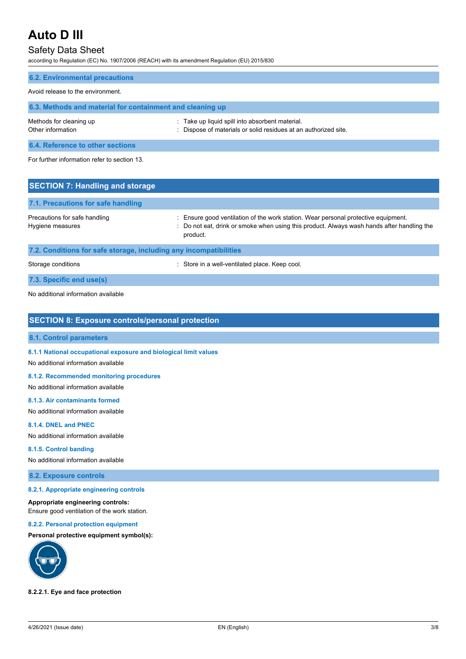### Safety Data Sheet

according to Regulation (EC) No. 1907/2006 (REACH) with its amendment Regulation (EU) 2015/830

| <b>6.2. Environmental precautions</b>                     |                                                                                                                    |  |  |  |
|-----------------------------------------------------------|--------------------------------------------------------------------------------------------------------------------|--|--|--|
| Avoid release to the environment.                         |                                                                                                                    |  |  |  |
| 6.3. Methods and material for containment and cleaning up |                                                                                                                    |  |  |  |
| Methods for cleaning up<br>Other information              | : Take up liquid spill into absorbent material.<br>: Dispose of materials or solid residues at an authorized site. |  |  |  |
| 6.4. Reference to other sections                          |                                                                                                                    |  |  |  |
| For further information refer to section 13.              |                                                                                                                    |  |  |  |
| <b>SECTION 7: Handling and storage</b>                    |                                                                                                                    |  |  |  |
| 7.1. Precautions for safe handling                        |                                                                                                                    |  |  |  |

Precautions for safe handling state is ensure good ventilation of the work station. Wear personal protective equipment. Hygiene measures **included in the state of the state of the state of the state of the state of the state of the state of the state of the state of the Handling the Handling the state of the state of the state of the state** product.

### **7.2. Conditions for safe storage, including any incompatibilities**

Storage conditions : Store in a well-ventilated place. Keep cool.

**7.3. Specific end use(s)**

No additional information available

### **SECTION 8: Exposure controls/personal protection**

### **8.1. Control parameters**

**8.1.1 National occupational exposure and biological limit values**

No additional information available

### **8.1.2. Recommended monitoring procedures**

No additional information available

### **8.1.3. Air contaminants formed**

No additional information available

### **8.1.4. DNEL and PNEC**

No additional information available

### **8.1.5. Control banding**

No additional information available

### **8.2. Exposure controls**

#### **8.2.1. Appropriate engineering controls**

#### **Appropriate engineering controls:**

Ensure good ventilation of the work station.

### **8.2.2. Personal protection equipment**

### **Personal protective equipment symbol(s):**



### **8.2.2.1. Eye and face protection**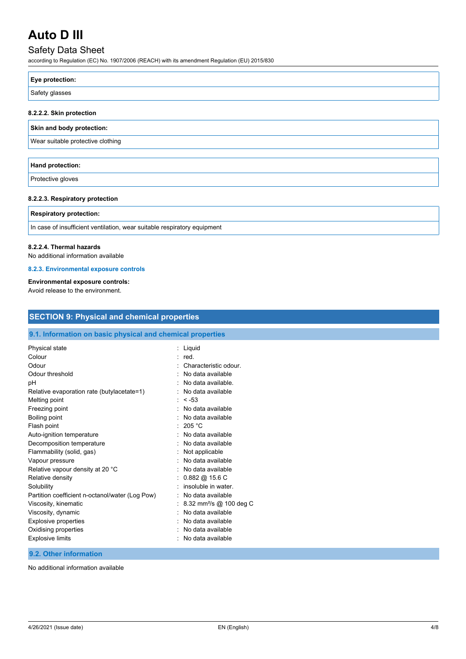## Safety Data Sheet

according to Regulation (EC) No. 1907/2006 (REACH) with its amendment Regulation (EU) 2015/830

| Eye protection: |  |
|-----------------|--|
| Safety glasses  |  |
|                 |  |

### **8.2.2.2. Skin protection**

### **Skin and body protection:**

Wear suitable protective clothing

| Hand protection:  |  |
|-------------------|--|
| Protective gloves |  |

### **8.2.2.3. Respiratory protection**

## **Respiratory protection:** In case of insufficient ventilation, wear suitable respiratory equipment

### **8.2.2.4. Thermal hazards**

No additional information available

### **8.2.3. Environmental exposure controls**

### **Environmental exposure controls:**

Avoid release to the environment.

| 9.1. Information on basic physical and chemical properties |                                       |  |  |
|------------------------------------------------------------|---------------------------------------|--|--|
| Physical state                                             | : Liquid                              |  |  |
| Colour                                                     | $:$ red.                              |  |  |
| Odour                                                      | Characteristic odour.                 |  |  |
| Odour threshold                                            | No data available                     |  |  |
| рH                                                         | No data available.                    |  |  |
| Relative evaporation rate (butylacetate=1)                 | No data available                     |  |  |
| Melting point                                              | $: < -53$                             |  |  |
| Freezing point                                             | No data available                     |  |  |
| Boiling point                                              | No data available                     |  |  |
| Flash point                                                | 205 °C                                |  |  |
| Auto-ignition temperature                                  | No data available                     |  |  |
| Decomposition temperature                                  | No data available                     |  |  |
| Flammability (solid, gas)                                  | Not applicable                        |  |  |
| Vapour pressure                                            | No data available                     |  |  |
| Relative vapour density at 20 °C                           | No data available                     |  |  |
| Relative density                                           | $0.882 \text{ @ } 15.6 \text{ C}$     |  |  |
| Solubility                                                 | insoluble in water.                   |  |  |
| Partition coefficient n-octanol/water (Log Pow)            | No data available                     |  |  |
| Viscosity, kinematic                                       | : 8.32 mm <sup>2</sup> /s @ 100 deg C |  |  |
| Viscosity, dynamic                                         | No data available                     |  |  |
| <b>Explosive properties</b>                                | No data available                     |  |  |
| Oxidising properties                                       | No data available                     |  |  |
| <b>Explosive limits</b>                                    | No data available                     |  |  |

No additional information available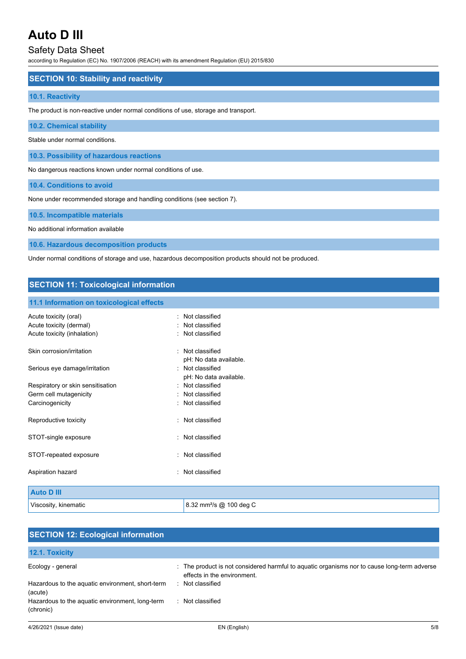### Safety Data Sheet

according to Regulation (EC) No. 1907/2006 (REACH) with its amendment Regulation (EU) 2015/830

### **SECTION 10: Stability and reactivity**

### **10.1. Reactivity**

The product is non-reactive under normal conditions of use, storage and transport.

### **10.2. Chemical stability**

Stable under normal conditions.

**10.3. Possibility of hazardous reactions**

No dangerous reactions known under normal conditions of use.

**10.4. Conditions to avoid**

None under recommended storage and handling conditions (see section 7).

### **10.5. Incompatible materials**

No additional information available

**10.6. Hazardous decomposition products**

Under normal conditions of storage and use, hazardous decomposition products should not be produced.

### **SECTION 11: Toxicological information**

#### **11.1 Information on toxicological effects**

| Acute toxicity (oral)<br>Acute toxicity (dermal)<br>Acute toxicity (inhalation) | · Not classified<br>: Not classified<br>: Not classified |
|---------------------------------------------------------------------------------|----------------------------------------------------------|
| Skin corrosion/irritation                                                       | Not classified                                           |
|                                                                                 | pH: No data available.                                   |
| Serious eye damage/irritation                                                   | Not classified                                           |
|                                                                                 | pH: No data available.                                   |
| Respiratory or skin sensitisation                                               | Not classified                                           |
| Germ cell mutagenicity                                                          | : Not classified                                         |
| Carcinogenicity                                                                 | : Not classified                                         |
| Reproductive toxicity                                                           | Not classified                                           |
| STOT-single exposure                                                            | Not classified                                           |
| STOT-repeated exposure                                                          | : Not classified                                         |
| Aspiration hazard                                                               | : Not classified                                         |
|                                                                                 |                                                          |
| <b>Auto D III</b>                                                               |                                                          |
| Viscosity, kinematic                                                            | 8.32 mm <sup>2</sup> /s @ 100 deg C                      |

## **SECTION 12: Ecological information 12.1. Toxicity** Ecology - general states of the product is not considered harmful to aquatic organisms nor to cause long-term adverse

|                                                  | effects in the environment. |
|--------------------------------------------------|-----------------------------|
| Hazardous to the aquatic environment, short-term | : Not classified            |
| (acute)                                          |                             |
| Hazardous to the aquatic environment, long-term  | : Not classified            |
| (chronic)                                        |                             |
|                                                  |                             |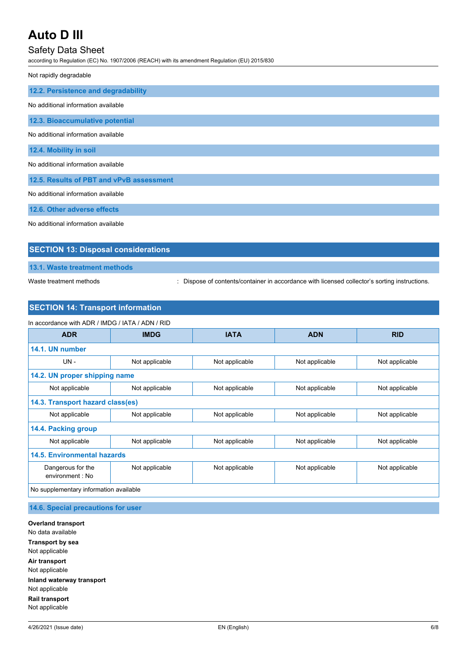### Safety Data Sheet

according to Regulation (EC) No. 1907/2006 (REACH) with its amendment Regulation (EU) 2015/830

Not rapidly degradable

| 12.2. Persistence and degradability      |  |  |  |  |
|------------------------------------------|--|--|--|--|
| No additional information available      |  |  |  |  |
| 12.3. Bioaccumulative potential          |  |  |  |  |
| No additional information available      |  |  |  |  |
| 12.4. Mobility in soil                   |  |  |  |  |
| No additional information available      |  |  |  |  |
| 12.5. Results of PBT and vPvB assessment |  |  |  |  |
| No additional information available      |  |  |  |  |
| 12.6. Other adverse effects              |  |  |  |  |

No additional information available

### **SECTION 13: Disposal considerations**

**13.1. Waste treatment methods**

Waste treatment methods : Dispose of contents/container in accordance with licensed collector's sorting instructions.

### **SECTION 14: Transport information**

| <b>ADR</b>                             | <b>IMDG</b>    | <b>IATA</b>    | <b>ADN</b>     | <b>RID</b>     |
|----------------------------------------|----------------|----------------|----------------|----------------|
|                                        |                |                |                |                |
| 14.1. UN number                        |                |                |                |                |
| $UN -$                                 | Not applicable | Not applicable | Not applicable | Not applicable |
| 14.2. UN proper shipping name          |                |                |                |                |
| Not applicable                         | Not applicable | Not applicable | Not applicable | Not applicable |
| 14.3. Transport hazard class(es)       |                |                |                |                |
| Not applicable                         | Not applicable | Not applicable | Not applicable | Not applicable |
| 14.4. Packing group                    |                |                |                |                |
| Not applicable                         | Not applicable | Not applicable | Not applicable | Not applicable |
| 14.5. Environmental hazards            |                |                |                |                |
| Dangerous for the<br>environment: No   | Not applicable | Not applicable | Not applicable | Not applicable |
| No supplementary information available |                |                |                |                |

**14.6. Special precautions for user**

**Overland transport** No data available **Transport by sea** Not applicable **Air transport** Not applicable **Inland waterway transport** Not applicable **Rail transport** Not applicable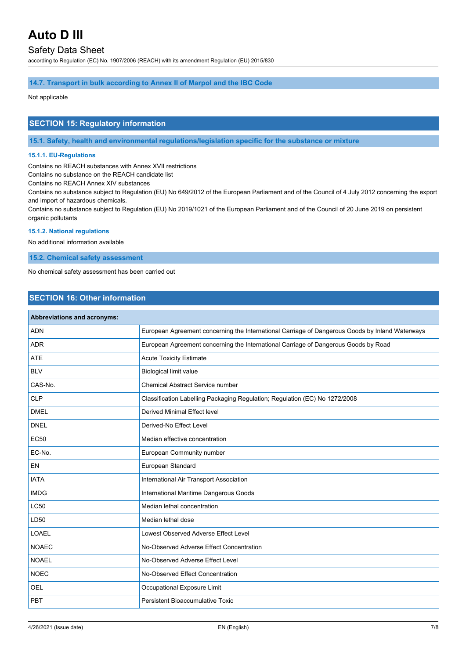### Safety Data Sheet

according to Regulation (EC) No. 1907/2006 (REACH) with its amendment Regulation (EU) 2015/830

### **14.7. Transport in bulk according to Annex II of Marpol and the IBC Code**

Not applicable

### **SECTION 15: Regulatory information**

**15.1. Safety, health and environmental regulations/legislation specific for the substance or mixture**

### **15.1.1. EU-Regulations**

Contains no REACH substances with Annex XVII restrictions

Contains no substance on the REACH candidate list

Contains no REACH Annex XIV substances

Contains no substance subject to Regulation (EU) No 649/2012 of the European Parliament and of the Council of 4 July 2012 concerning the export and import of hazardous chemicals.

Contains no substance subject to Regulation (EU) No 2019/1021 of the European Parliament and of the Council of 20 June 2019 on persistent organic pollutants

### **15.1.2. National regulations**

No additional information available

**15.2. Chemical safety assessment**

No chemical safety assessment has been carried out

### **SECTION 16: Other information**

| Abbreviations and acronyms: |                                                                                                 |  |  |  |
|-----------------------------|-------------------------------------------------------------------------------------------------|--|--|--|
| <b>ADN</b>                  | European Agreement concerning the International Carriage of Dangerous Goods by Inland Waterways |  |  |  |
| <b>ADR</b>                  | European Agreement concerning the International Carriage of Dangerous Goods by Road             |  |  |  |
| <b>ATE</b>                  | <b>Acute Toxicity Estimate</b>                                                                  |  |  |  |
| <b>BLV</b>                  | <b>Biological limit value</b>                                                                   |  |  |  |
| CAS-No.                     | <b>Chemical Abstract Service number</b>                                                         |  |  |  |
| <b>CLP</b>                  | Classification Labelling Packaging Regulation; Regulation (EC) No 1272/2008                     |  |  |  |
| <b>DMEL</b>                 | <b>Derived Minimal Effect level</b>                                                             |  |  |  |
| <b>DNEL</b>                 | Derived-No Effect Level                                                                         |  |  |  |
| <b>EC50</b>                 | Median effective concentration                                                                  |  |  |  |
| EC-No.                      | European Community number                                                                       |  |  |  |
| EN                          | European Standard                                                                               |  |  |  |
| <b>IATA</b>                 | International Air Transport Association                                                         |  |  |  |
| <b>IMDG</b>                 | International Maritime Dangerous Goods                                                          |  |  |  |
| <b>LC50</b>                 | Median lethal concentration                                                                     |  |  |  |
| LD50                        | Median lethal dose                                                                              |  |  |  |
| <b>LOAEL</b>                | Lowest Observed Adverse Effect Level                                                            |  |  |  |
| <b>NOAEC</b>                | No-Observed Adverse Effect Concentration                                                        |  |  |  |
| <b>NOAEL</b>                | No-Observed Adverse Effect Level                                                                |  |  |  |
| <b>NOEC</b>                 | No-Observed Effect Concentration                                                                |  |  |  |
| OEL                         | Occupational Exposure Limit                                                                     |  |  |  |
| PBT                         | Persistent Bioaccumulative Toxic                                                                |  |  |  |
|                             |                                                                                                 |  |  |  |